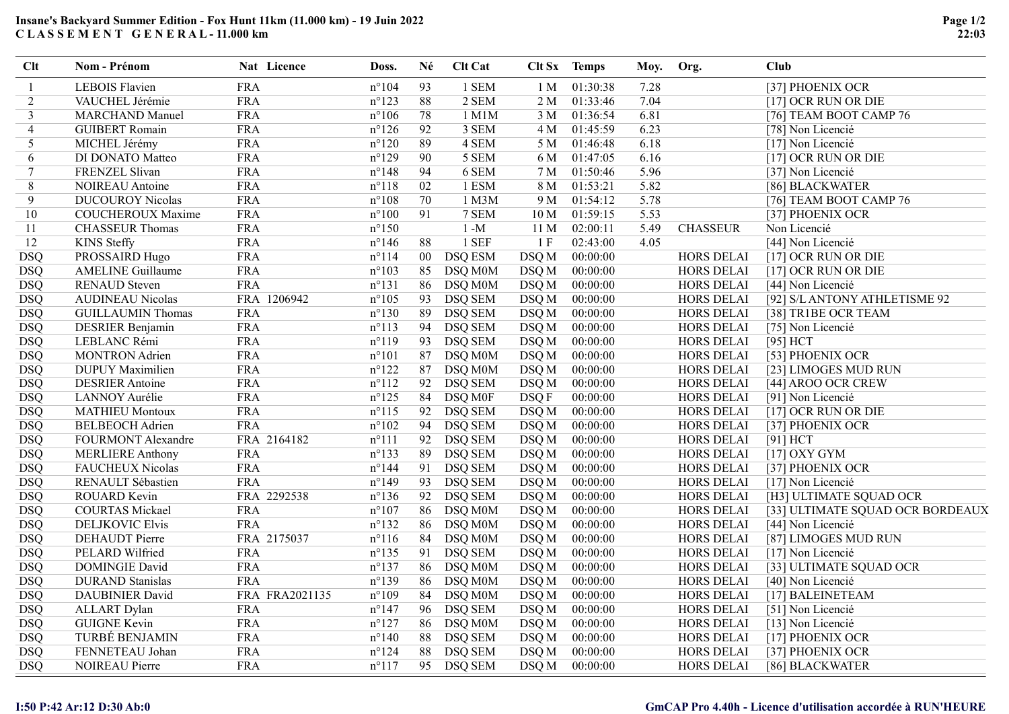## Insane's Backyard Summer Edition - Fox Hunt 11km (11.000 km) - 19 Juin 2022 C L A S S E M E N T G E N E R A L - 11.000 km

| <b>Clt</b> | Nom - Prénom             | Nat Licence    | Doss.           | Né          | Clt Cat        |                 | Clt Sx Temps | Moy. | Org.              | <b>Club</b>                      |
|------------|--------------------------|----------------|-----------------|-------------|----------------|-----------------|--------------|------|-------------------|----------------------------------|
| 1          | <b>LEBOIS Flavien</b>    | <b>FRA</b>     | $n^{\circ}104$  | 93          | 1 SEM          | 1 M             | 01:30:38     | 7.28 |                   | [37] PHOENIX OCR                 |
| 2          | VAUCHEL Jérémie          | <b>FRA</b>     | $n^{\circ}123$  | $\sqrt{88}$ | 2 SEM          | 2 M             | 01:33:46     | 7.04 |                   | [17] OCR RUN OR DIE              |
| 3          | <b>MARCHAND Manuel</b>   | <b>FRA</b>     | $n^{\circ}106$  | 78          | 1 M1M          | 3 M             | 01:36:54     | 6.81 |                   | [76] TEAM BOOT CAMP 76           |
| 4          | <b>GUIBERT</b> Romain    | <b>FRA</b>     | $n^{\circ}126$  | 92          | 3 SEM          | 4 M             | 01:45:59     | 6.23 |                   | [78] Non Licencié                |
| 5          | MICHEL Jérémy            | <b>FRA</b>     | $n^{\circ}120$  | 89          | 4 SEM          | 5 M             | 01:46:48     | 6.18 |                   | [17] Non Licencié                |
| 6          | DI DONATO Matteo         | <b>FRA</b>     | $n^{\circ}129$  | 90          | 5 SEM          | 6 M             | 01:47:05     | 6.16 |                   | [17] OCR RUN OR DIE              |
| $\tau$     | FRENZEL Slivan           | <b>FRA</b>     | $n^{\circ}148$  | 94          | 6 SEM          | 7 M             | 01:50:46     | 5.96 |                   | [37] Non Licencié                |
| 8          | NOIREAU Antoine          | <b>FRA</b>     | $n^{\circ}118$  | 02          | 1 ESM          | 8 M             | 01:53:21     | 5.82 |                   | [86] BLACKWATER                  |
| 9          | <b>DUCOUROY Nicolas</b>  | <b>FRA</b>     | $n^{\circ}108$  | 70          | 1 M3M          | 9 M             | 01:54:12     | 5.78 |                   | [76] TEAM BOOT CAMP 76           |
| 10         | <b>COUCHEROUX Maxime</b> | <b>FRA</b>     | $n^{\circ}100$  | 91          | 7 SEM          | 10 <sub>M</sub> | 01:59:15     | 5.53 |                   | [37] PHOENIX OCR                 |
| 11         | <b>CHASSEUR Thomas</b>   | <b>FRA</b>     | $n^{\circ}150$  |             | $1 - M$        | 11 <sub>M</sub> | 02:00:11     | 5.49 | <b>CHASSEUR</b>   | Non Licencié                     |
| 12         | <b>KINS</b> Steffy       | <b>FRA</b>     | $n^{\circ}146$  | 88          | 1 SEF          | 1 F             | 02:43:00     | 4.05 |                   | [44] Non Licencié                |
| <b>DSQ</b> | PROSSAIRD Hugo           | <b>FRA</b>     | $n^{\circ}114$  | $00\,$      | <b>DSQ ESM</b> | DSQ M           | 00:00:00     |      | <b>HORS DELAI</b> | [17] OCR RUN OR DIE              |
| <b>DSQ</b> | <b>AMELINE Guillaume</b> | <b>FRA</b>     | $n^{\circ}103$  | 85          | DSQ M0M        | DSQ M           | 00:00:00     |      | <b>HORS DELAI</b> | [17] OCR RUN OR DIE              |
| <b>DSQ</b> | <b>RENAUD</b> Steven     | <b>FRA</b>     | $n^{\circ}131$  | 86          | DSQ M0M        | DSQ M           | 00:00:00     |      | <b>HORS DELAI</b> | [44] Non Licencié                |
| <b>DSQ</b> | <b>AUDINEAU Nicolas</b>  | FRA 1206942    | $n^{\circ}105$  | 93          | <b>DSQ SEM</b> | DSQ M           | 00:00:00     |      | <b>HORS DELAI</b> | [92] S/L ANTONY ATHLETISME 92    |
| <b>DSQ</b> | <b>GUILLAUMIN Thomas</b> | <b>FRA</b>     | $n^{\circ}130$  | 89          | <b>DSQ SEM</b> | DSQ M           | 00:00:00     |      | <b>HORS DELAI</b> | [38] TR1BE OCR TEAM              |
| <b>DSQ</b> | <b>DESRIER Benjamin</b>  | <b>FRA</b>     | $n^{\circ}113$  | 94          | <b>DSQ SEM</b> | DSQ M           | 00:00:00     |      | HORS DELAI        | [75] Non Licencié                |
| <b>DSQ</b> | LEBLANC Rémi             | <b>FRA</b>     | $n^{\circ}119$  | 93          | <b>DSQ SEM</b> | DSQ M           | 00:00:00     |      | <b>HORS DELAI</b> | [95] HCT                         |
| <b>DSQ</b> | <b>MONTRON</b> Adrien    | <b>FRA</b>     | $n^{\circ}101$  | 87          | DSQ M0M        | DSQ M           | 00:00:00     |      | HORS DELAI        | [53] PHOENIX OCR                 |
| <b>DSQ</b> | <b>DUPUY</b> Maximilien  | <b>FRA</b>     | $n^{\circ}122$  | 87          | DSQ M0M        | DSQ M           | 00:00:00     |      | <b>HORS DELAI</b> | [23] LIMOGES MUD RUN             |
| <b>DSQ</b> | <b>DESRIER</b> Antoine   | <b>FRA</b>     | $n^{\circ}112$  | 92          | <b>DSQ SEM</b> | DSQ M           | 00:00:00     |      | <b>HORS DELAI</b> | [44] AROO OCR CREW               |
| <b>DSQ</b> | LANNOY Aurélie           | <b>FRA</b>     | $n^{\circ}125$  | 84          | DSQ M0F        | DSQ F           | 00:00:00     |      | <b>HORS DELAI</b> | [91] Non Licencié                |
| <b>DSQ</b> | <b>MATHIEU Montoux</b>   | <b>FRA</b>     | $n^{\circ}115$  | 92          | <b>DSQ SEM</b> | DSQ M           | 00:00:00     |      | <b>HORS DELAI</b> | [17] OCR RUN OR DIE              |
| <b>DSQ</b> | <b>BELBEOCH Adrien</b>   | <b>FRA</b>     | $n^{\circ}102$  | 94          | <b>DSQ SEM</b> | DSQ M           | 00:00:00     |      | <b>HORS DELAI</b> | [37] PHOENIX OCR                 |
| <b>DSQ</b> | FOURMONT Alexandre       | FRA 2164182    | $n^{\circ}111$  | 92          | <b>DSQ SEM</b> | DSQ M           | 00:00:00     |      | <b>HORS DELAI</b> | [91] HCT                         |
| <b>DSQ</b> | <b>MERLIERE Anthony</b>  | <b>FRA</b>     | $n^{\circ}133$  | 89          | DSQ SEM        | DSQ M           | 00:00:00     |      | HORS DELAI        | $[17]$ OXY GYM                   |
| <b>DSQ</b> | <b>FAUCHEUX Nicolas</b>  | <b>FRA</b>     | $n^{\circ}$ 144 | 91          | <b>DSQ SEM</b> | DSQ M           | 00:00:00     |      | HORS DELAI        | [37] PHOENIX OCR                 |
| <b>DSQ</b> | RENAULT Sébastien        | <b>FRA</b>     | $n^{\circ}149$  | 93          | <b>DSQ SEM</b> | DSQ M           | 00:00:00     |      | <b>HORS DELAI</b> | [17] Non Licencié                |
| <b>DSQ</b> | ROUARD Kevin             | FRA 2292538    | $n^{\circ}136$  | 92          | DSQ SEM        | DSQ M           | 00:00:00     |      | <b>HORS DELAI</b> | [H3] ULTIMATE SQUAD OCR          |
| <b>DSQ</b> | <b>COURTAS Mickael</b>   | <b>FRA</b>     | $n^{\circ}107$  | 86          | DSQ M0M        | DSQ M           | 00:00:00     |      | HORS DELAI        | [33] ULTIMATE SQUAD OCR BORDEAUX |
| <b>DSQ</b> | <b>DELJKOVIC Elvis</b>   | <b>FRA</b>     | $n^{\circ}132$  | 86          | DSQ M0M        | DSQ M           | 00:00:00     |      | HORS DELAI        | [44] Non Licencié                |
| <b>DSQ</b> | <b>DEHAUDT</b> Pierre    | FRA 2175037    | $n^{\circ}116$  | 84          | DSQ M0M        | DSQ M           | 00:00:00     |      | <b>HORS DELAI</b> | [87] LIMOGES MUD RUN             |
| <b>DSQ</b> | PELARD Wilfried          | <b>FRA</b>     | $n^{\circ}$ 135 | 91          | <b>DSQ SEM</b> | DSQ M           | 00:00:00     |      | <b>HORS DELAI</b> | [17] Non Licencié                |
| <b>DSQ</b> | <b>DOMINGIE David</b>    | <b>FRA</b>     | $n^{\circ}137$  | 86          | DSQ M0M        | DSQ M           | 00:00:00     |      | HORS DELAI        | [33] ULTIMATE SQUAD OCR          |
| <b>DSQ</b> | <b>DURAND</b> Stanislas  | <b>FRA</b>     | $n^{\circ}139$  | 86          | DSQ M0M        | DSQ M           | 00:00:00     |      | HORS DELAI        | [40] Non Licencié                |
| <b>DSQ</b> | DAUBINIER David          | FRA FRA2021135 | $n^{\circ}109$  | 84          | DSQ M0M        | DSQ M           | 00:00:00     |      | <b>HORS DELAI</b> | [17] BALEINETEAM                 |
| <b>DSQ</b> | <b>ALLART</b> Dylan      | <b>FRA</b>     | $n^{\circ}147$  | 96          | <b>DSQ SEM</b> | DSQ M           | 00:00:00     |      | HORS DELAI        | [51] Non Licencié                |
| <b>DSQ</b> | <b>GUIGNE Kevin</b>      | <b>FRA</b>     | $n^{\circ}127$  | 86          | DSQ M0M        | DSQ M           | 00:00:00     |      | HORS DELAI        | [13] Non Licencié                |
| <b>DSQ</b> | TURBÉ BENJAMIN           | <b>FRA</b>     | $n^{\circ}140$  | 88          | DSQ SEM        | DSQ M           | 00:00:00     |      | <b>HORS DELAI</b> | [17] PHOENIX OCR                 |
| <b>DSQ</b> | FENNETEAU Johan          | <b>FRA</b>     | $n^{\circ}124$  | 88          | <b>DSQ SEM</b> | DSQ M           | 00:00:00     |      | <b>HORS DELAI</b> | [37] PHOENIX OCR                 |
| <b>DSQ</b> | NOIREAU Pierre           | <b>FRA</b>     | $n^{\circ}117$  | 95          | <b>DSQ SEM</b> | DSQ M           | 00:00:00     |      | <b>HORS DELAI</b> | [86] BLACKWATER                  |

## I:50 P:42 Ar:12 D:30 Ab:0 GmCAP Pro 4.40h - Licence d'utilisation accordée à RUN'HEURE